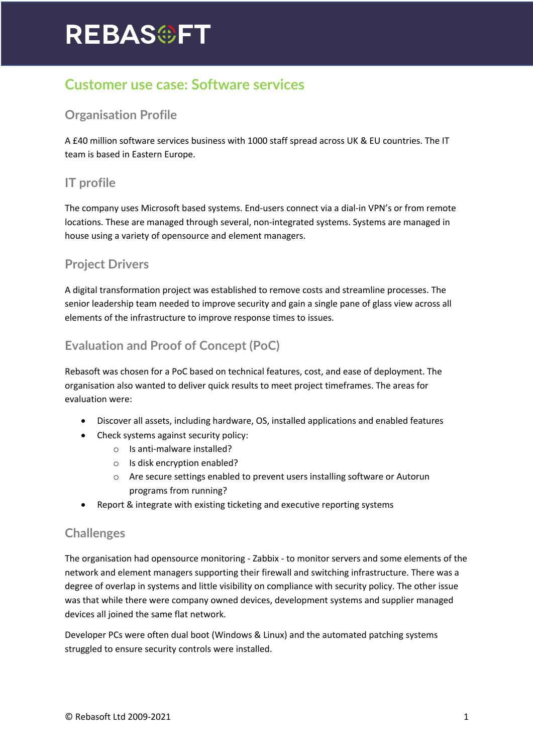# **REBAS@FT**

# **Customer use case: Software services**

# **Organisation Profile**

A £40 million software services business with 1000 staff spread across UK & EU countries. The IT team is based in Eastern Europe.

### **IT profile**

The company uses Microsoft based systems. End-users connect via a dial-in VPN's or from remote locations. These are managed through several, non-integrated systems. Systems are managed in house using a variety of opensource and element managers.

#### **Project Drivers**

A digital transformation project was established to remove costs and streamline processes. The senior leadership team needed to improve security and gain a single pane of glass view across all elements of the infrastructure to improve response times to issues.

# **Evaluation and Proof of Concept (PoC)**

Rebasoft was chosen for a PoC based on technical features, cost, and ease of deployment. The organisation also wanted to deliver quick results to meet project timeframes. The areas for evaluation were:

- Discover all assets, including hardware, OS, installed applications and enabled features
- Check systems against security policy:
	- o Is anti-malware installed?
	- o Is disk encryption enabled?
	- o Are secure settings enabled to prevent users installing software or Autorun programs from running?
- Report & integrate with existing ticketing and executive reporting systems

#### **Challenges**

The organisation had opensource monitoring - Zabbix - to monitor servers and some elements of the network and element managers supporting their firewall and switching infrastructure. There was a degree of overlap in systems and little visibility on compliance with security policy. The other issue was that while there were company owned devices, development systems and supplier managed devices all joined the same flat network.

Developer PCs were often dual boot (Windows & Linux) and the automated patching systems struggled to ensure security controls were installed.